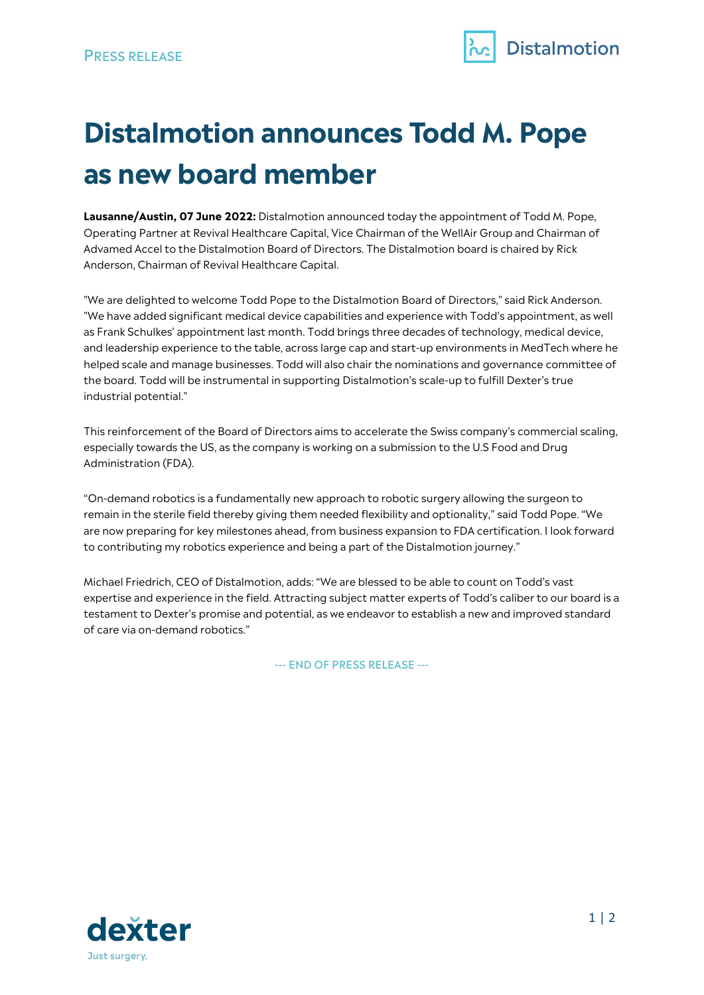

# **Distalmotion announces Todd M. Pope as new board member**

**Lausanne/Austin, 07 June 2022:** Distalmotion announced today the appointment of Todd M. Pope, Operating Partner at Revival Healthcare Capital, Vice Chairman of the WellAir Group and Chairman of Advamed Accel to the Distalmotion Board of Directors. The Distalmotion board is chaired by Rick Anderson, Chairman of Revival Healthcare Capital.

"We are delighted to welcome Todd Pope to the Distalmotion Board of Directors," said Rick Anderson. "We have added significant medical device capabilities and experience with Todd's appointment, as well as Frank Schulkes' appointment last month. Todd brings three decades of technology, medical device, and leadership experience to the table, across large cap and start-up environments in MedTech where he helped scale and manage businesses. Todd will also chair the nominations and governance committee of the board. Todd will be instrumental in supporting Distalmotion's scale-up to fulfill Dexter's true industrial potential."

This reinforcement of the Board of Directors aims to accelerate the Swiss company's commercial scaling, especially towards the US, as the company is working on a submission to the U.S Food and Drug Administration (FDA).

"On-demand robotics is a fundamentally new approach to robotic surgery allowing the surgeon to remain in the sterile field thereby giving them needed flexibility and optionality," said Todd Pope. "We are now preparing for key milestones ahead, from business expansion to FDA certification. I look forward to contributing my robotics experience and being a part of the Distalmotion journey."

Michael Friedrich, CEO of Distalmotion, adds: "We are blessed to be able to count on Todd's vast expertise and experience in the field. Attracting subject matter experts of Todd's caliber to our board is a testament to Dexter's promise and potential, as we endeavor to establish a new and improved standard of care via on-demand robotics."

--- END OF PRESS RELEASE ---